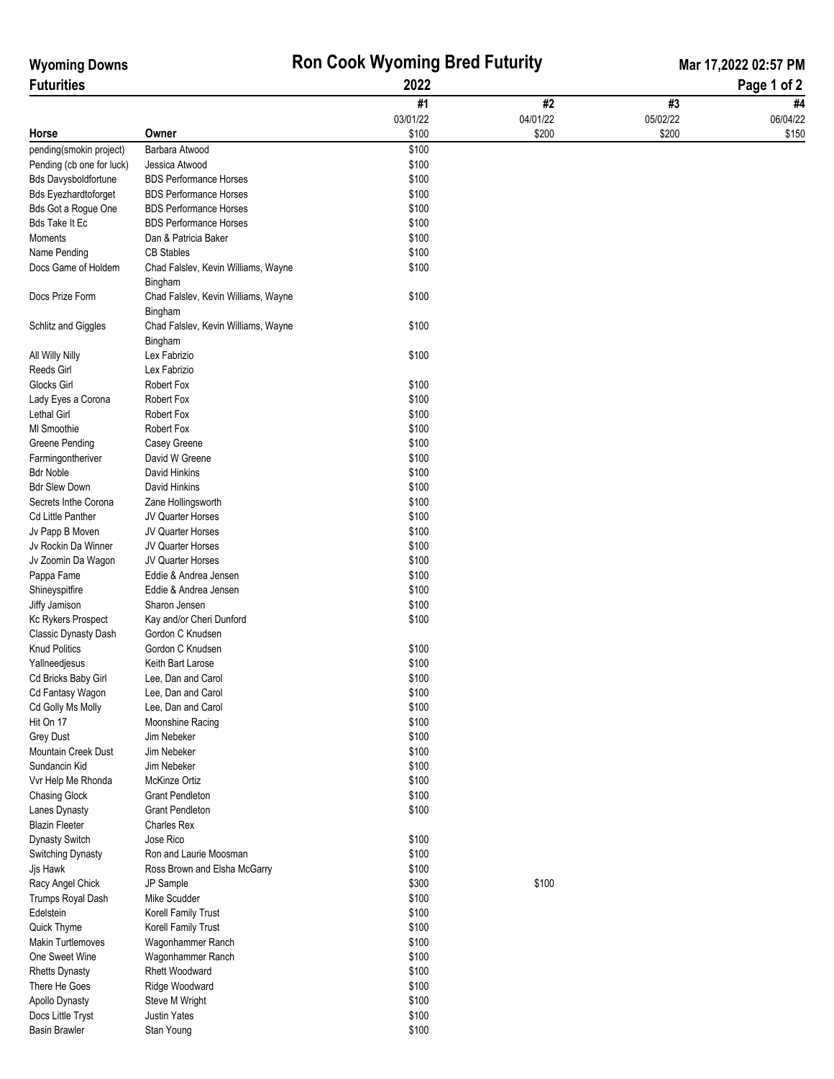| <b>Wyoming Downs</b>                   | <b>Ron Cook Wyoming Bred Futurity</b>                          |                |          | Mar 17,2022 02:57 PM |          |  |
|----------------------------------------|----------------------------------------------------------------|----------------|----------|----------------------|----------|--|
| <b>Futurities</b>                      | 2022                                                           |                |          | Page 1 of 2          |          |  |
|                                        |                                                                | #1             | #2       | #3                   | #4       |  |
|                                        |                                                                | 03/01/22       | 04/01/22 | 05/02/22             | 06/04/22 |  |
| Horse                                  | Owner                                                          | \$100          | \$200    | \$200                | \$150    |  |
| pending(smokin project)                | Barbara Atwood                                                 | \$100          |          |                      |          |  |
| Pending (cb one for luck)              | Jessica Atwood                                                 | \$100          |          |                      |          |  |
| <b>Bds Davysboldfortune</b>            | <b>BDS Performance Horses</b>                                  | \$100          |          |                      |          |  |
| <b>Bds Eyezhardtoforget</b>            | <b>BDS Performance Horses</b>                                  | \$100          |          |                      |          |  |
| Bds Got a Rogue One                    | <b>BDS Performance Horses</b><br><b>BDS Performance Horses</b> | \$100          |          |                      |          |  |
| <b>Bds Take It Ec</b><br>Moments       | Dan & Patricia Baker                                           | \$100<br>\$100 |          |                      |          |  |
| Name Pending                           | <b>CB Stables</b>                                              | \$100          |          |                      |          |  |
| Docs Game of Holdem                    | Chad Falslev, Kevin Williams, Wayne                            | \$100          |          |                      |          |  |
|                                        | Bingham                                                        |                |          |                      |          |  |
| Docs Prize Form                        | Chad Falslev, Kevin Williams, Wayne                            | \$100          |          |                      |          |  |
|                                        | Bingham                                                        |                |          |                      |          |  |
| Schlitz and Giggles                    | Chad Falslev, Kevin Williams, Wayne                            | \$100          |          |                      |          |  |
|                                        | Bingham                                                        |                |          |                      |          |  |
| All Willy Nilly                        | Lex Fabrizio                                                   | \$100          |          |                      |          |  |
| Reeds Girl                             | Lex Fabrizio                                                   |                |          |                      |          |  |
| Glocks Girl                            | Robert Fox                                                     | \$100          |          |                      |          |  |
| Lady Eyes a Corona                     | Robert Fox                                                     | \$100          |          |                      |          |  |
| Lethal Girl                            | Robert Fox                                                     | \$100          |          |                      |          |  |
| MI Smoothie                            | Robert Fox                                                     | \$100          |          |                      |          |  |
| Greene Pending                         | Casey Greene                                                   | \$100          |          |                      |          |  |
| Farmingontheriver                      | David W Greene                                                 | \$100          |          |                      |          |  |
| <b>Bdr Noble</b>                       | David Hinkins                                                  | \$100          |          |                      |          |  |
| <b>Bdr Slew Down</b>                   | David Hinkins                                                  | \$100          |          |                      |          |  |
| Secrets Inthe Corona                   |                                                                | \$100          |          |                      |          |  |
| Cd Little Panther                      | Zane Hollingsworth<br>JV Quarter Horses                        | \$100          |          |                      |          |  |
|                                        | JV Quarter Horses                                              | \$100          |          |                      |          |  |
| Jv Papp B Moven<br>Jv Rockin Da Winner | JV Quarter Horses                                              | \$100          |          |                      |          |  |
| Jv Zoomin Da Wagon                     | JV Quarter Horses                                              | \$100          |          |                      |          |  |
|                                        | Eddie & Andrea Jensen                                          | \$100          |          |                      |          |  |
| Pappa Fame                             | Eddie & Andrea Jensen                                          | \$100          |          |                      |          |  |
| Shineyspitfire<br>Jiffy Jamison        | Sharon Jensen                                                  | \$100          |          |                      |          |  |
| Kc Rykers Prospect                     | Kay and/or Cheri Dunford                                       | \$100          |          |                      |          |  |
| Classic Dynasty Dash                   | Gordon C Knudsen                                               |                |          |                      |          |  |
| <b>Knud Politics</b>                   | Gordon C Knudsen                                               | \$100          |          |                      |          |  |
| Yallneedjesus                          | Keith Bart Larose                                              | \$100          |          |                      |          |  |
| Cd Bricks Baby Girl                    | Lee, Dan and Carol                                             | \$100          |          |                      |          |  |
| Cd Fantasy Wagon                       | Lee, Dan and Carol                                             | \$100          |          |                      |          |  |
| Cd Golly Ms Molly                      | Lee, Dan and Carol                                             | \$100          |          |                      |          |  |
| Hit On 17                              | Moonshine Racing                                               | \$100          |          |                      |          |  |
| Grey Dust                              | Jim Nebeker                                                    | \$100          |          |                      |          |  |
| Mountain Creek Dust                    | Jim Nebeker                                                    | \$100          |          |                      |          |  |
| Sundancin Kid                          | Jim Nebeker                                                    | \$100          |          |                      |          |  |
| Vvr Help Me Rhonda                     | McKinze Ortiz                                                  | \$100          |          |                      |          |  |
| Chasing Glock                          | <b>Grant Pendleton</b>                                         | \$100          |          |                      |          |  |
| Lanes Dynasty                          | <b>Grant Pendleton</b>                                         | \$100          |          |                      |          |  |
| <b>Blazin Fleeter</b>                  | Charles Rex                                                    |                |          |                      |          |  |
| <b>Dynasty Switch</b>                  | Jose Rico                                                      | \$100          |          |                      |          |  |
| Switching Dynasty                      | Ron and Laurie Moosman                                         | \$100          |          |                      |          |  |
| Jjs Hawk                               | Ross Brown and Elsha McGarry                                   | \$100          |          |                      |          |  |
| Racy Angel Chick                       | JP Sample                                                      | \$300          | \$100    |                      |          |  |
| Trumps Royal Dash                      | Mike Scudder                                                   | \$100          |          |                      |          |  |
| Edelstein                              | Korell Family Trust                                            | \$100          |          |                      |          |  |
| Quick Thyme                            | Korell Family Trust                                            | \$100          |          |                      |          |  |
| Makin Turtlemoves                      | Wagonhammer Ranch                                              | \$100          |          |                      |          |  |
| One Sweet Wine                         | Wagonhammer Ranch                                              | \$100          |          |                      |          |  |
| <b>Rhetts Dynasty</b>                  | <b>Rhett Woodward</b>                                          | \$100          |          |                      |          |  |
| There He Goes                          | Ridge Woodward                                                 | \$100          |          |                      |          |  |
| Apollo Dynasty                         | Steve M Wright                                                 | \$100          |          |                      |          |  |
| Docs Little Tryst                      | <b>Justin Yates</b>                                            | \$100          |          |                      |          |  |
| <b>Basin Brawler</b>                   | Stan Young                                                     | \$100          |          |                      |          |  |
|                                        |                                                                |                |          |                      |          |  |